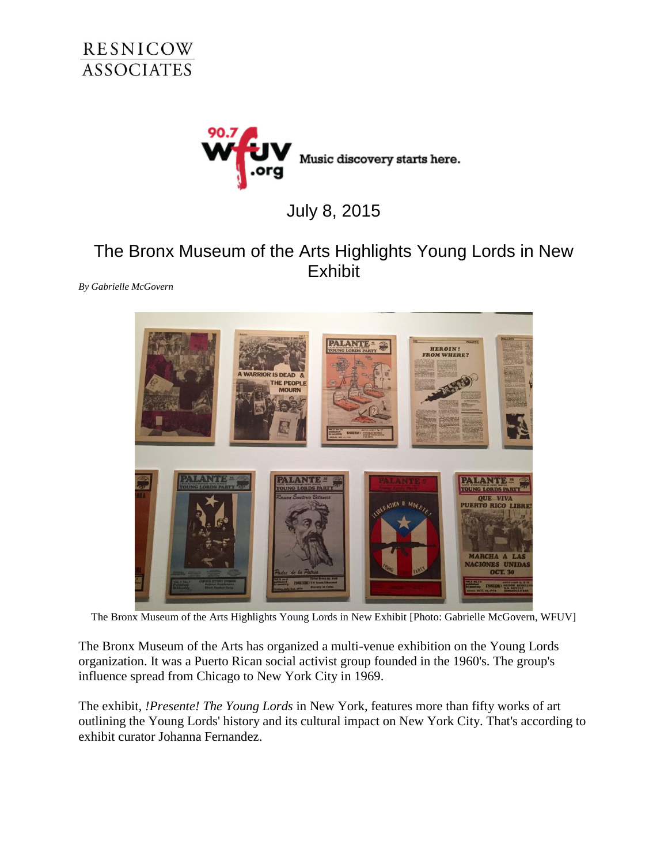



## July 8, 2015

## The Bronx Museum of the Arts Highlights Young Lords in New **Exhibit**

*By Gabrielle McGovern*



The Bronx Museum of the Arts Highlights Young Lords in New Exhibit [Photo: Gabrielle McGovern, WFUV]

The Bronx Museum of the Arts has organized a multi-venue exhibition on the Young Lords organization. It was a Puerto Rican social activist group founded in the 1960's. The group's influence spread from Chicago to New York City in 1969.

The exhibit*, !Presente! The Young Lords* in New York, features more than fifty works of art outlining the Young Lords' history and its cultural impact on New York City. That's according to exhibit curator Johanna Fernandez.